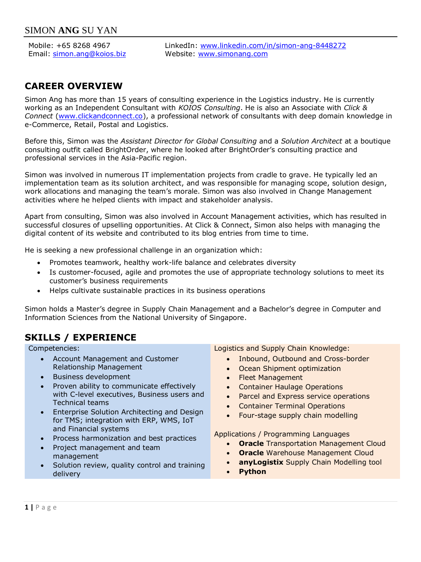Mobile: +65 8268 4967 Email: [simon.ang@koios.biz](mailto:simon.ang@koios.biz) LinkedIn: [www.linkedin.com/in/simon-ang-8448272](http://www.linkedin.com/in/simon-ang-8448272) Website: [www.simonang.com](http://www.simonang.com/)

# **CAREER OVERVIEW**

Simon Ang has more than 15 years of consulting experience in the Logistics industry. He is currently working as an Independent Consultant with *KOIOS Consulting*. He is also an Associate with *Click & Connect* [\(www.clickandconnect.co\)](http://www.clickandconnect.co/), a professional network of consultants with deep domain knowledge in e-Commerce, Retail, Postal and Logistics.

Before this, Simon was the *Assistant Director for Global Consulting* and a *Solution Architect* at a boutique consulting outfit called BrightOrder, where he looked after BrightOrder's consulting practice and professional services in the Asia-Pacific region.

Simon was involved in numerous IT implementation projects from cradle to grave. He typically led an implementation team as its solution architect, and was responsible for managing scope, solution design, work allocations and managing the team's morale. Simon was also involved in Change Management activities where he helped clients with impact and stakeholder analysis.

Apart from consulting, Simon was also involved in Account Management activities, which has resulted in successful closures of upselling opportunities. At Click & Connect, Simon also helps with managing the digital content of its website and contributed to its blog entries from time to time.

He is seeking a new professional challenge in an organization which:

- Promotes teamwork, healthy work-life balance and celebrates diversity
- Is customer-focused, agile and promotes the use of appropriate technology solutions to meet its customer's business requirements
- Helps cultivate sustainable practices in its business operations

Simon holds a Master's degree in Supply Chain Management and a Bachelor's degree in Computer and Information Sciences from the National University of Singapore.

# **SKILLS / EXPERIENCE**

- Account Management and Customer Relationship Management
- Business development
- Proven ability to communicate effectively with C-level executives, Business users and Technical teams
- Enterprise Solution Architecting and Design for TMS; integration with ERP, WMS, IoT and Financial systems
- Process harmonization and best practices
- Project management and team management
- Solution review, quality control and training delivery

Competencies: Logistics and Supply Chain Knowledge:

- Inbound, Outbound and Cross-border
- Ocean Shipment optimization
- Fleet Management
- Container Haulage Operations
- Parcel and Express service operations
- Container Terminal Operations
- Four-stage supply chain modelling

Applications / Programming Languages

- **Oracle** Transportation Management Cloud
- **Oracle** Warehouse Management Cloud
- **anyLogistix** Supply Chain Modelling tool
- **Python**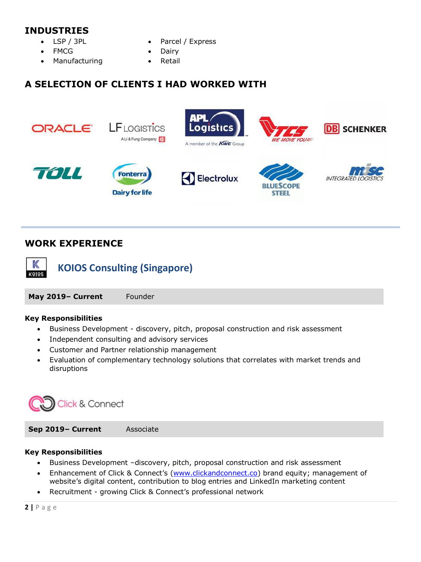## **INDUSTRIES**

- LSP / 3PL
- FMCG
- Manufacturing
- Parcel / Express
- Dairy
- **Retail**

# **A SELECTION OF CLIENTS I HAD WORKED WITH**



# **WORK EXPERIENCE**



**KOIOS Consulting (Singapore)**

**May 2019– Current** Founder

### **Key Responsibilities**

- Business Development discovery, pitch, proposal construction and risk assessment
- Independent consulting and advisory services
- Customer and Partner relationship management
- Evaluation of complementary technology solutions that correlates with market trends and disruptions



**Sep 2019– Current** Associate

### **Key Responsibilities**

- Business Development –discovery, pitch, proposal construction and risk assessment
- Enhancement of Click & Connect's [\(www.clickandconnect.co\)](http://www.clickandconnect.co/) brand equity; management of website's digital content, contribution to blog entries and LinkedIn marketing content
- Recruitment growing Click & Connect's professional network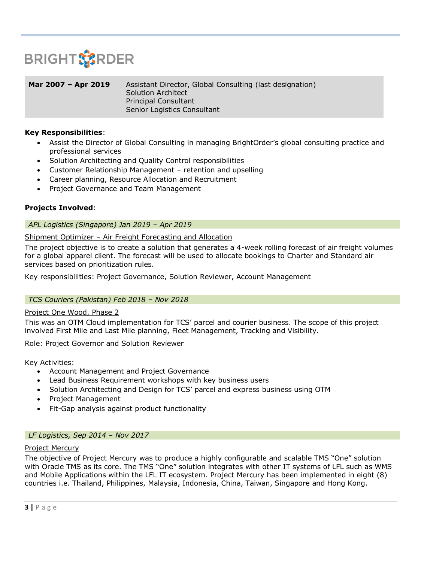

| Mar 2007 - Apr 2019 | Assistant Director, Global Consulting (last designation)<br>Solution Architect |
|---------------------|--------------------------------------------------------------------------------|
|                     | Principal Consultant<br>Senior Logistics Consultant                            |

### **Key Responsibilities**:

- Assist the Director of Global Consulting in managing BrightOrder's global consulting practice and professional services
- Solution Architecting and Quality Control responsibilities
- Customer Relationship Management retention and upselling
- Career planning, Resource Allocation and Recruitment
- Project Governance and Team Management

### **Projects Involved**:

### *APL Logistics (Singapore) Jan 2019 – Apr 2019*

### Shipment Optimizer – Air Freight Forecasting and Allocation

The project objective is to create a solution that generates a 4-week rolling forecast of air freight volumes for a global apparel client. The forecast will be used to allocate bookings to Charter and Standard air services based on prioritization rules.

Key responsibilities: Project Governance, Solution Reviewer, Account Management

### *TCS Couriers (Pakistan) Feb 2018 – Nov 2018*

### Project One Wood, Phase 2

This was an OTM Cloud implementation for TCS' parcel and courier business. The scope of this project involved First Mile and Last Mile planning, Fleet Management, Tracking and Visibility.

Role: Project Governor and Solution Reviewer

Key Activities:

- Account Management and Project Governance
- Lead Business Requirement workshops with key business users
- Solution Architecting and Design for TCS' parcel and express business using OTM
- Project Management
- Fit-Gap analysis against product functionality

### *LF Logistics, Sep 2014 – Nov 2017*

### Project Mercury

The objective of Project Mercury was to produce a highly configurable and scalable TMS "One" solution with Oracle TMS as its core. The TMS "One" solution integrates with other IT systems of LFL such as WMS and Mobile Applications within the LFL IT ecosystem. Project Mercury has been implemented in eight (8) countries i.e. Thailand, Philippines, Malaysia, Indonesia, China, Taiwan, Singapore and Hong Kong.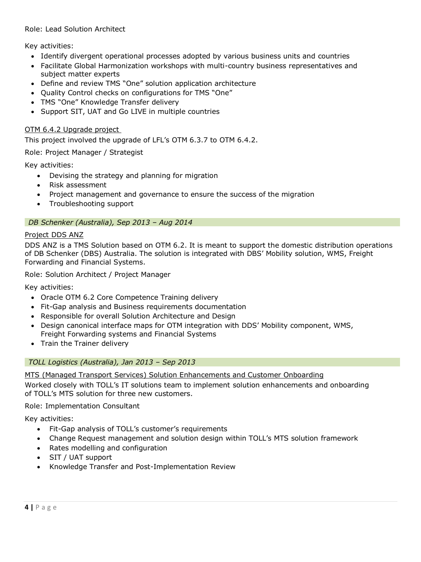### Role: Lead Solution Architect

Key activities:

- Identify divergent operational processes adopted by various business units and countries
- Facilitate Global Harmonization workshops with multi-country business representatives and subject matter experts
- Define and review TMS "One" solution application architecture
- Quality Control checks on configurations for TMS "One"
- TMS "One" Knowledge Transfer delivery
- Support SIT, UAT and Go LIVE in multiple countries

### OTM 6.4.2 Upgrade project

This project involved the upgrade of LFL's OTM 6.3.7 to OTM 6.4.2.

Role: Project Manager / Strategist

Key activities:

- Devising the strategy and planning for migration
- Risk assessment
- Project management and governance to ensure the success of the migration
- Troubleshooting support

### *DB Schenker (Australia), Sep 2013 – Aug 2014*

### Project DDS ANZ

DDS ANZ is a TMS Solution based on OTM 6.2. It is meant to support the domestic distribution operations of DB Schenker (DBS) Australia. The solution is integrated with DBS' Mobility solution, WMS, Freight Forwarding and Financial Systems.

Role: Solution Architect / Project Manager

Key activities:

- Oracle OTM 6.2 Core Competence Training delivery
- Fit-Gap analysis and Business requirements documentation
- Responsible for overall Solution Architecture and Design
- Design canonical interface maps for OTM integration with DDS' Mobility component, WMS, Freight Forwarding systems and Financial Systems
- Train the Trainer delivery

### *TOLL Logistics (Australia), Jan 2013 – Sep 2013*

MTS (Managed Transport Services) Solution Enhancements and Customer Onboarding

Worked closely with TOLL's IT solutions team to implement solution enhancements and onboarding of TOLL's MTS solution for three new customers.

Role: Implementation Consultant

Key activities:

- Fit-Gap analysis of TOLL's customer's requirements
- Change Request management and solution design within TOLL's MTS solution framework
- Rates modelling and configuration
- SIT / UAT support
- Knowledge Transfer and Post-Implementation Review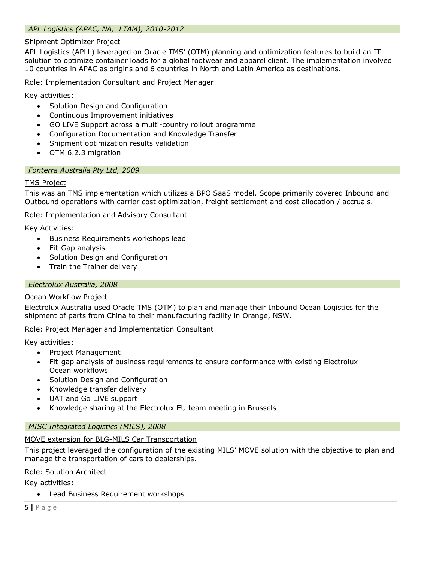### *APL Logistics (APAC, NA, LTAM), 2010-2012*

### Shipment Optimizer Project

APL Logistics (APLL) leveraged on Oracle TMS' (OTM) planning and optimization features to build an IT solution to optimize container loads for a global footwear and apparel client. The implementation involved 10 countries in APAC as origins and 6 countries in North and Latin America as destinations.

Role: Implementation Consultant and Project Manager

Key activities:

- Solution Design and Configuration
- Continuous Improvement initiatives
- GO LIVE Support across a multi-country rollout programme
- Configuration Documentation and Knowledge Transfer
- Shipment optimization results validation
- OTM 6.2.3 migration

### *Fonterra Australia Pty Ltd, 2009*

### TMS Project

This was an TMS implementation which utilizes a BPO SaaS model. Scope primarily covered Inbound and Outbound operations with carrier cost optimization, freight settlement and cost allocation / accruals.

Role: Implementation and Advisory Consultant

Key Activities:

- Business Requirements workshops lead
- Fit-Gap analysis
- Solution Design and Configuration
- Train the Trainer delivery

### *Electrolux Australia, 2008*

### Ocean Workflow Project

Electrolux Australia used Oracle TMS (OTM) to plan and manage their Inbound Ocean Logistics for the shipment of parts from China to their manufacturing facility in Orange, NSW.

### Role: Project Manager and Implementation Consultant

Key activities:

- Project Management
- Fit-gap analysis of business requirements to ensure conformance with existing Electrolux Ocean workflows
- Solution Design and Configuration
- Knowledge transfer delivery
- UAT and Go LIVE support
- Knowledge sharing at the Electrolux EU team meeting in Brussels

### *MISC Integrated Logistics (MILS), 2008*

### MOVE extension for BLG-MILS Car Transportation

This project leveraged the configuration of the existing MILS' MOVE solution with the objective to plan and manage the transportation of cars to dealerships.

### Role: Solution Architect

Key activities:

• Lead Business Requirement workshops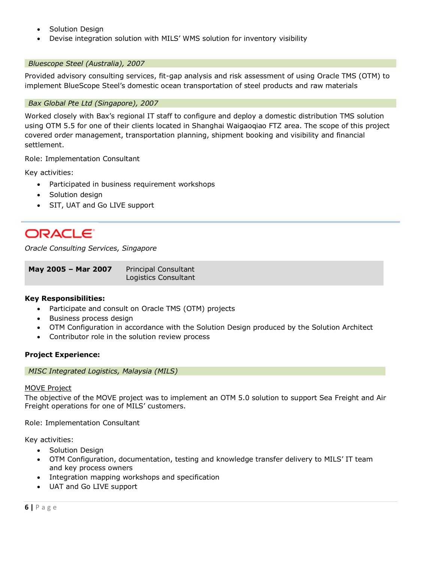- Solution Design
- Devise integration solution with MILS' WMS solution for inventory visibility

### *Bluescope Steel (Australia), 2007*

Provided advisory consulting services, fit-gap analysis and risk assessment of using Oracle TMS (OTM) to implement BlueScope Steel's domestic ocean transportation of steel products and raw materials

### *Bax Global Pte Ltd (Singapore), 2007*

Worked closely with Bax's regional IT staff to configure and deploy a domestic distribution TMS solution using OTM 5.5 for one of their clients located in Shanghai Waigaoqiao FTZ area. The scope of this project covered order management, transportation planning, shipment booking and visibility and financial settlement.

Role: Implementation Consultant

Key activities:

- Participated in business requirement workshops
- Solution design
- SIT, UAT and Go LIVE support

# **ORACLE**

*Oracle Consulting Services, Singapore*

| May 2005 - Mar 2007 | Principal Consultant |
|---------------------|----------------------|
|                     | Logistics Consultant |

### **Key Responsibilities:**

- Participate and consult on Oracle TMS (OTM) projects
- Business process design
- OTM Configuration in accordance with the Solution Design produced by the Solution Architect
- Contributor role in the solution review process

### **Project Experience:**

*MISC Integrated Logistics, Malaysia (MILS)*

### MOVE Project

The objective of the MOVE project was to implement an OTM 5.0 solution to support Sea Freight and Air Freight operations for one of MILS' customers.

Role: Implementation Consultant

Key activities:

- Solution Design
- OTM Configuration, documentation, testing and knowledge transfer delivery to MILS' IT team and key process owners
- Integration mapping workshops and specification
- UAT and Go LIVE support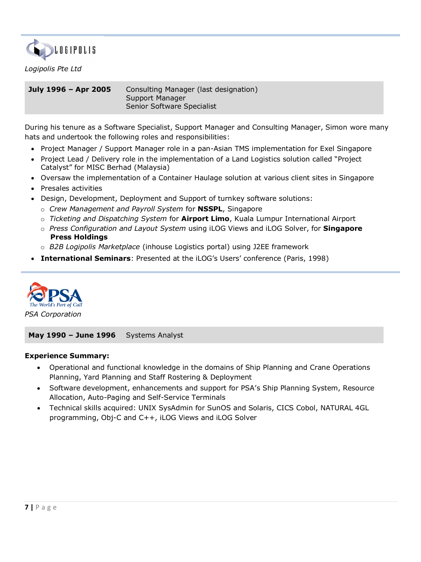

### *Logipolis Pte Ltd*

**July 1996 – Apr 2005** Consulting Manager (last designation) Support Manager Senior Software Specialist

During his tenure as a Software Specialist, Support Manager and Consulting Manager, Simon wore many hats and undertook the following roles and responsibilities:

- Project Manager / Support Manager role in a pan-Asian TMS implementation for Exel Singapore
- Project Lead / Delivery role in the implementation of a Land Logistics solution called "Project Catalyst" for MISC Berhad (Malaysia)
- Oversaw the implementation of a Container Haulage solution at various client sites in Singapore
- Presales activities
- Design, Development, Deployment and Support of turnkey software solutions:
	- o *Crew Management and Payroll System* for **NSSPL**, Singapore
	- o *Ticketing and Dispatching System* for **Airport Limo**, Kuala Lumpur International Airport
	- o *Press Configuration and Layout System* using iLOG Views and iLOG Solver, for **Singapore Press Holdings**
	- o *B2B Logipolis Marketplace* (inhouse Logistics portal) using J2EE framework
- **International Seminars**: Presented at the iLOG's Users' conference (Paris, 1998)



**May 1990 – June 1996** Systems Analyst

### **Experience Summary:**

- Operational and functional knowledge in the domains of Ship Planning and Crane Operations Planning, Yard Planning and Staff Rostering & Deployment
- Software development, enhancements and support for PSA's Ship Planning System, Resource Allocation, Auto-Paging and Self-Service Terminals
- Technical skills acquired: UNIX SysAdmin for SunOS and Solaris, CICS Cobol, NATURAL 4GL programming, Obj-C and C++, iLOG Views and iLOG Solver